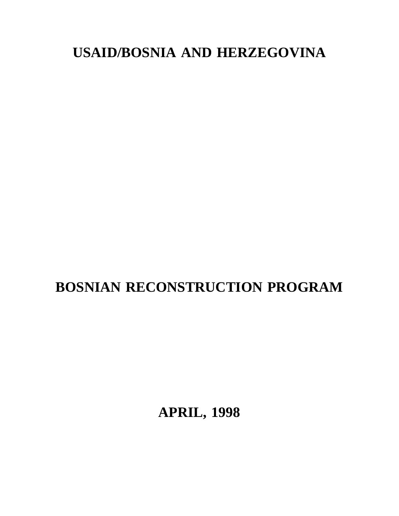# **USAID/BOSNIA AND HERZEGOVINA**

# **BOSNIAN RECONSTRUCTION PROGRAM**

**APRIL, 1998**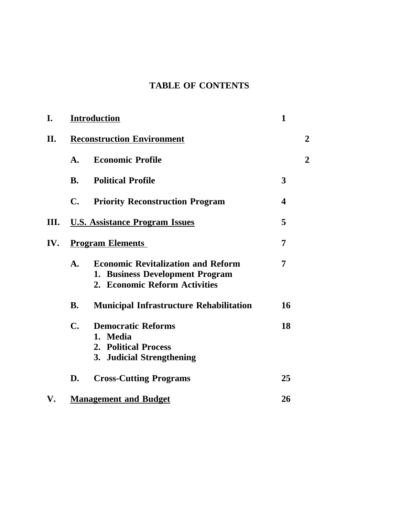## **TABLE OF CONTENTS**

| I.  |                                   | <b>Introduction</b>                                                                                           | $\mathbf{1}$   |                |
|-----|-----------------------------------|---------------------------------------------------------------------------------------------------------------|----------------|----------------|
| II. | <b>Reconstruction Environment</b> |                                                                                                               | $\overline{2}$ |                |
|     | A.                                | <b>Economic Profile</b>                                                                                       |                | $\overline{2}$ |
|     | <b>B.</b>                         | <b>Political Profile</b>                                                                                      | 3              |                |
|     | $\mathbf{C}$ .                    | <b>Priority Reconstruction Program</b>                                                                        | 4              |                |
| Ш.  |                                   | <b>U.S. Assistance Program Issues</b>                                                                         | 5              |                |
| IV. | <b>Program Elements</b>           |                                                                                                               | 7              |                |
|     | $\mathbf{A}$ .                    | <b>Economic Revitalization and Reform</b><br>1. Business Development Program<br>2. Economic Reform Activities | 7              |                |
|     | <b>B.</b>                         | <b>Municipal Infrastructure Rehabilitation</b>                                                                | 16             |                |
|     | $\mathbf{C}$ .                    | <b>Democratic Reforms</b><br>1. Media<br>2. Political Process<br>3. Judicial Strengthening                    | 18             |                |
|     | D.                                | <b>Cross-Cutting Programs</b>                                                                                 | 25             |                |
| V.  |                                   | <b>Management and Budget</b>                                                                                  | 26             |                |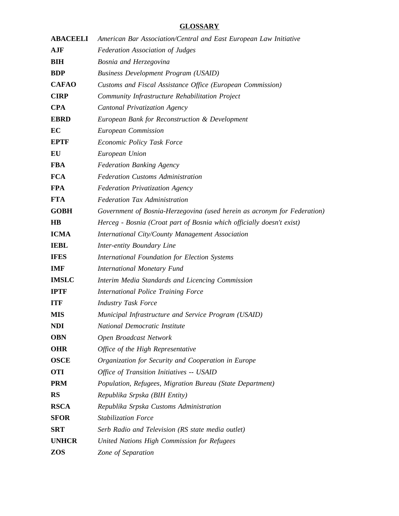### **GLOSSARY**

| <b>ABACEELI</b> | American Bar Association/Central and East European Law Initiative        |  |  |
|-----------------|--------------------------------------------------------------------------|--|--|
| AJF             | <b>Federation Association of Judges</b>                                  |  |  |
| <b>BIH</b>      | Bosnia and Herzegovina                                                   |  |  |
| <b>BDP</b>      | <b>Business Development Program (USAID)</b>                              |  |  |
| <b>CAFAO</b>    | Customs and Fiscal Assistance Office (European Commission)               |  |  |
| <b>CIRP</b>     | Community Infrastructure Rehabilitation Project                          |  |  |
| <b>CPA</b>      | <b>Cantonal Privatization Agency</b>                                     |  |  |
| <b>EBRD</b>     | European Bank for Reconstruction & Development                           |  |  |
| EC              | European Commission                                                      |  |  |
| <b>EPTF</b>     | Economic Policy Task Force                                               |  |  |
| EU              | European Union                                                           |  |  |
| <b>FBA</b>      | <b>Federation Banking Agency</b>                                         |  |  |
| <b>FCA</b>      | <b>Federation Customs Administration</b>                                 |  |  |
| <b>FPA</b>      | <b>Federation Privatization Agency</b>                                   |  |  |
| <b>FTA</b>      | <b>Federation Tax Administration</b>                                     |  |  |
| <b>GOBH</b>     | Government of Bosnia-Herzegovina (used herein as acronym for Federation) |  |  |
| <b>HB</b>       | Herceg - Bosnia (Croat part of Bosnia which officially doesn't exist)    |  |  |
| <b>ICMA</b>     | International City/County Management Association                         |  |  |
| <b>IEBL</b>     | Inter-entity Boundary Line                                               |  |  |
| <b>IFES</b>     | International Foundation for Election Systems                            |  |  |
| <b>IMF</b>      | <b>International Monetary Fund</b>                                       |  |  |
| <b>IMSLC</b>    | Interim Media Standards and Licencing Commission                         |  |  |
| <b>IPTF</b>     | <b>International Police Training Force</b>                               |  |  |
| <b>ITF</b>      | <b>Industry Task Force</b>                                               |  |  |
| <b>MIS</b>      | Municipal Infrastructure and Service Program (USAID)                     |  |  |
| NDI             | <b>National Democratic Institute</b>                                     |  |  |
| <b>OBN</b>      | Open Broadcast Network                                                   |  |  |
| <b>OHR</b>      | Office of the High Representative                                        |  |  |
| <b>OSCE</b>     | Organization for Security and Cooperation in Europe                      |  |  |
| <b>OTI</b>      | Office of Transition Initiatives -- USAID                                |  |  |
| <b>PRM</b>      | Population, Refugees, Migration Bureau (State Department)                |  |  |
| <b>RS</b>       | Republika Srpska (BIH Entity)                                            |  |  |
| <b>RSCA</b>     | Republika Srpska Customs Administration                                  |  |  |
| <b>SFOR</b>     | <b>Stabilization Force</b>                                               |  |  |
| <b>SRT</b>      | Serb Radio and Television (RS state media outlet)                        |  |  |
| <b>UNHCR</b>    | United Nations High Commission for Refugees                              |  |  |
| <b>ZOS</b>      | Zone of Separation                                                       |  |  |
|                 |                                                                          |  |  |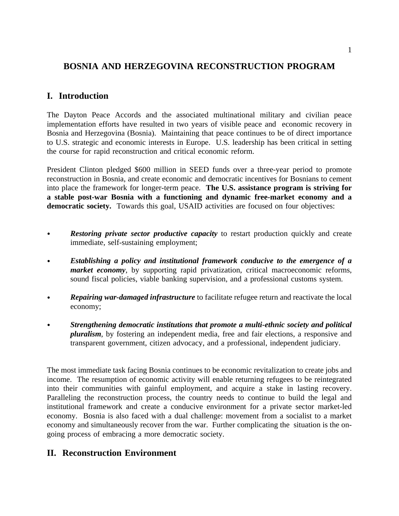### **BOSNIA AND HERZEGOVINA RECONSTRUCTION PROGRAM**

### **I. Introduction**

The Dayton Peace Accords and the associated multinational military and civilian peace implementation efforts have resulted in two years of visible peace and economic recovery in Bosnia and Herzegovina (Bosnia). Maintaining that peace continues to be of direct importance to U.S. strategic and economic interests in Europe. U.S. leadership has been critical in setting the course for rapid reconstruction and critical economic reform.

President Clinton pledged \$600 million in SEED funds over a three-year period to promote reconstruction in Bosnia, and create economic and democratic incentives for Bosnians to cement into place the framework for longer-term peace. **The U.S. assistance program is striving for a stable post-war Bosnia with a functioning and dynamic free-market economy and a** democratic society. Towards this goal, USAID activities are focused on four objectives:

- *Restoring private sector productive capacity* to restart production quickly and create immediate, self-sustaining employment;
- $\bullet$ *Establishing a policy and institutional framework conducive to the emergence of a market economy*, by supporting rapid privatization, critical macroeconomic reforms, sound fiscal policies, viable banking supervision, and a professional customs system.
- *Repairing war-damaged infrastructure* to facilitate refugee return and reactivate the local economy;
- *Strengthening democratic institutions that promote a multi-ethnic society and political pluralism*, by fostering an independent media, free and fair elections, a responsive and transparent government, citizen advocacy, and a professional, independent judiciary.

The most immediate task facing Bosnia continues to be economic revitalization to create jobs and income. The resumption of economic activity will enable returning refugees to be reintegrated into their communities with gainful employment, and acquire a stake in lasting recovery. Paralleling the reconstruction process, the country needs to continue to build the legal and institutional framework and create a conducive environment for a private sector market-led economy. Bosnia is also faced with a dual challenge: movement from a socialist to a market economy and simultaneously recover from the war. Further complicating the situation is the ongoing process of embracing a more democratic society.

### **II. Reconstruction Environment**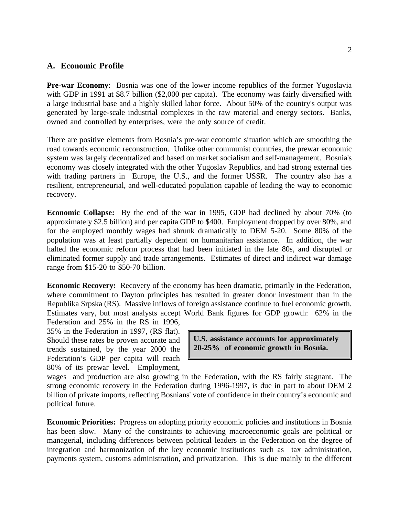#### **A. Economic Profile**

**Pre-war Economy**: Bosnia was one of the lower income republics of the former Yugoslavia with GDP in 1991 at \$8.7 billion (\$2,000 per capita). The economy was fairly diversified with a large industrial base and a highly skilled labor force. About 50% of the country's output was generated by large-scale industrial complexes in the raw material and energy sectors. Banks, owned and controlled by enterprises, were the only source of credit.

There are positive elements from Bosnia's pre-war economic situation which are smoothing the road towards economic reconstruction. Unlike other communist countries, the prewar economic system was largely decentralized and based on market socialism and self-management. Bosnia's economy was closely integrated with the other Yugoslav Republics, and had strong external ties with trading partners in Europe, the U.S., and the former USSR. The country also has a resilient, entrepreneurial, and well-educated population capable of leading the way to economic recovery.

**Economic Collapse:** By the end of the war in 1995, GDP had declined by about 70% (to approximately \$2.5 billion) and per capita GDP to \$400. Employment dropped by over 80%, and for the employed monthly wages had shrunk dramatically to DEM 5-20. Some 80% of the population was at least partially dependent on humanitarian assistance. In addition, the war halted the economic reform process that had been initiated in the late 80s, and disrupted or eliminated former supply and trade arrangements. Estimates of direct and indirect war damage range from \$15-20 to \$50-70 billion.

**Economic Recovery:** Recovery of the economy has been dramatic, primarily in the Federation, where commitment to Dayton principles has resulted in greater donor investment than in the Republika Srpska (RS). Massive inflows of foreign assistance continue to fuel economic growth. Estimates vary, but most analysts accept World Bank figures for GDP growth: 62% in the

Federation and 25% in the RS in 1996, 35% in the Federation in 1997, (RS flat). Should these rates be proven accurate and trends sustained, by the year 2000 the Federation's GDP per capita will reach 80% of its prewar level. Employment,

**U.S. assistance accounts for approximately 20-25% of economic growth in Bosnia.**

wages and production are also growing in the Federation, with the RS fairly stagnant. The strong economic recovery in the Federation during 1996-1997, is due in part to about DEM 2 billion of private imports, reflecting Bosnians' vote of confidence in their country's economic and political future.

**Economic Priorities:** Progress on adopting priority economic policies and institutions in Bosnia has been slow. Many of the constraints to achieving macroeconomic goals are political or managerial, including differences between political leaders in the Federation on the degree of integration and harmonization of the key economic institutions such as tax administration, payments system, customs administration, and privatization. This is due mainly to the different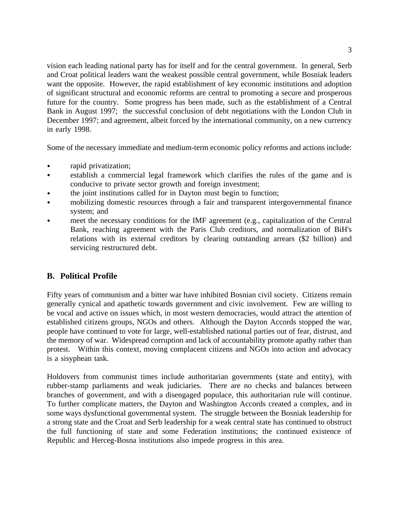vision each leading national party has for itself and for the central government. In general, Serb and Croat political leaders want the weakest possible central government, while Bosniak leaders want the opposite. However, the rapid establishment of key economic institutions and adoption of significant structural and economic reforms are central to promoting a secure and prosperous future for the country. Some progress has been made, such as the establishment of a Central Bank in August 1997; the successful conclusion of debt negotiations with the London Club in December 1997; and agreement, albeit forced by the international community, on a new currency in early 1998.

Some of the necessary immediate and medium-term economic policy reforms and actions include:

- rapid privatization;
- establish a commercial legal framework which clarifies the rules of the game and is  $\bullet$ conducive to private sector growth and foreign investment;
- the joint institutions called for in Dayton must begin to function;
- mobilizing domestic resources through a fair and transparent intergovernmental finance  $\bullet$ system; and
- meet the necessary conditions for the IMF agreement (e.g., capitalization of the Central Bank, reaching agreement with the Paris Club creditors, and normalization of BiH's relations with its external creditors by clearing outstanding arrears (\$2 billion) and servicing restructured debt.

### **B. Political Profile**

Fifty years of communism and a bitter war have inhibited Bosnian civil society. Citizens remain generally cynical and apathetic towards government and civic involvement. Few are willing to be vocal and active on issues which, in most western democracies, would attract the attention of established citizens groups, NGOs and others. Although the Dayton Accords stopped the war, people have continued to vote for large, well-established national parties out of fear, distrust, and the memory of war. Widespread corruption and lack of accountability promote apathy rather than protest. Within this context, moving complacent citizens and NGOs into action and advocacy is a sisyphean task.

Holdovers from communist times include authoritarian governments (state and entity), with rubber-stamp parliaments and weak judiciaries. There are no checks and balances between branches of government, and with a disengaged populace, this authoritarian rule will continue. To further complicate matters, the Dayton and Washington Accords created a complex, and in some ways dysfunctional governmental system. The struggle between the Bosniak leadership for a strong state and the Croat and Serb leadership for a weak central state has continued to obstruct the full functioning of state and some Federation institutions; the continued existence of Republic and Herceg-Bosna institutions also impede progress in this area.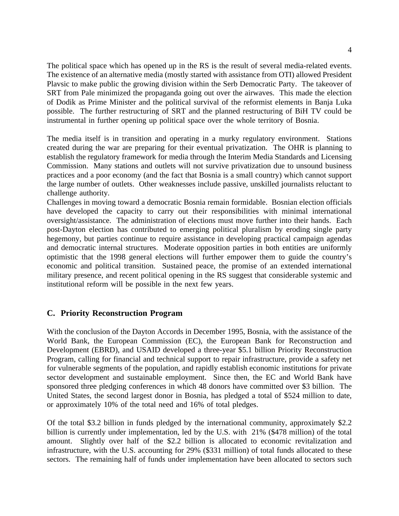The political space which has opened up in the RS is the result of several media-related events. The existence of an alternative media (mostly started with assistance from OTI) allowed President Plavsic to make public the growing division within the Serb Democratic Party. The takeover of SRT from Pale minimized the propaganda going out over the airwaves. This made the election of Dodik as Prime Minister and the political survival of the reformist elements in Banja Luka possible. The further restructuring of SRT and the planned restructuring of BiH TV could be instrumental in further opening up political space over the whole territory of Bosnia.

The media itself is in transition and operating in a murky regulatory environment. Stations created during the war are preparing for their eventual privatization. The OHR is planning to establish the regulatory framework for media through the Interim Media Standards and Licensing Commission. Many stations and outlets will not survive privatization due to unsound business practices and a poor economy (and the fact that Bosnia is a small country) which cannot support the large number of outlets. Other weaknesses include passive, unskilled journalists reluctant to challenge authority.

Challenges in moving toward a democratic Bosnia remain formidable. Bosnian election officials have developed the capacity to carry out their responsibilities with minimal international oversight/assistance. The administration of elections must move further into their hands. Each post-Dayton election has contributed to emerging political pluralism by eroding single party hegemony, but parties continue to require assistance in developing practical campaign agendas and democratic internal structures. Moderate opposition parties in both entities are uniformly optimistic that the 1998 general elections will further empower them to guide the country's economic and political transition. Sustained peace, the promise of an extended international military presence, and recent political opening in the RS suggest that considerable systemic and institutional reform will be possible in the next few years.

#### **C. Priority Reconstruction Program**

With the conclusion of the Dayton Accords in December 1995, Bosnia, with the assistance of the World Bank, the European Commission (EC), the European Bank for Reconstruction and Development (EBRD), and USAID developed a three-year \$5.1 billion Priority Reconstruction Program, calling for financial and technical support to repair infrastructure, provide a safety net for vulnerable segments of the population, and rapidly establish economic institutions for private sector development and sustainable employment. Since then, the EC and World Bank have sponsored three pledging conferences in which 48 donors have committed over \$3 billion. The United States, the second largest donor in Bosnia, has pledged a total of \$524 million to date, or approximately 10% of the total need and 16% of total pledges.

Of the total \$3.2 billion in funds pledged by the international community, approximately \$2.2 billion is currently under implementation, led by the U.S. with 21% (\$478 million) of the total amount. Slightly over half of the \$2.2 billion is allocated to economic revitalization and infrastructure, with the U.S. accounting for 29% (\$331 million) of total funds allocated to these sectors. The remaining half of funds under implementation have been allocated to sectors such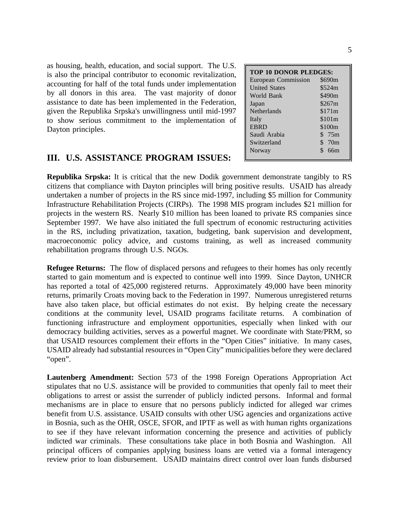as housing, health, education, and social support. The U.S. is also the principal contributor to economic revitalization, accounting for half of the total funds under implementation by all donors in this area. The vast majority of donor assistance to date has been implemented in the Federation, given the Republika Srpska's unwillingness until mid-1997 to show serious commitment to the implementation of Dayton principles.

### **III. U.S. ASSISTANCE PROGRAM ISSUES:**

| <b>TOP 10 DONOR PLEDGES:</b> |           |  |  |  |  |  |  |
|------------------------------|-----------|--|--|--|--|--|--|
| European Commission          | \$690m    |  |  |  |  |  |  |
| <b>United States</b>         | \$524m    |  |  |  |  |  |  |
| World Bank                   | \$490m    |  |  |  |  |  |  |
| Japan                        | \$267m    |  |  |  |  |  |  |
| <b>Netherlands</b>           | \$171m    |  |  |  |  |  |  |
| Italy                        | \$101m    |  |  |  |  |  |  |
| <b>EBRD</b>                  | \$100m    |  |  |  |  |  |  |
| Saudi Arabia                 | \$<br>75m |  |  |  |  |  |  |
| Switzerland                  | \$70m     |  |  |  |  |  |  |
| Norway                       | \$<br>66m |  |  |  |  |  |  |
|                              |           |  |  |  |  |  |  |

**Republika Srpska:** It is critical that the new Dodik government demonstrate tangibly to RS citizens that compliance with Dayton principles will bring positive results. USAID has already undertaken a number of projects in the RS since mid-1997, including \$5 million for Community Infrastructure Rehabilitation Projects (CIRPs). The 1998 MIS program includes \$21 million for projects in the western RS. Nearly \$10 million has been loaned to private RS companies since September 1997. We have also initiated the full spectrum of economic restructuring activities in the RS, including privatization, taxation, budgeting, bank supervision and development, macroeconomic policy advice, and customs training, as well as increased community rehabilitation programs through U.S. NGOs.

**Refugee Returns:** The flow of displaced persons and refugees to their homes has only recently started to gain momentum and is expected to continue well into 1999. Since Dayton, UNHCR has reported a total of 425,000 registered returns. Approximately 49,000 have been minority returns, primarily Croats moving back to the Federation in 1997. Numerous unregistered returns have also taken place, but official estimates do not exist. By helping create the necessary conditions at the community level, USAID programs facilitate returns. A combination of functioning infrastructure and employment opportunities, especially when linked with our democracy building activities, serves as a powerful magnet. We coordinate with State/PRM, so that USAID resources complement their efforts in the "Open Cities" initiative. In many cases, USAID already had substantial resources in "Open City" municipalities before they were declared "open".

**Lautenberg Amendment:** Section 573 of the 1998 Foreign Operations Appropriation Act stipulates that no U.S. assistance will be provided to communities that openly fail to meet their obligations to arrest or assist the surrender of publicly indicted persons. Informal and formal mechanisms are in place to ensure that no persons publicly indicted for alleged war crimes benefit from U.S. assistance. USAID consults with other USG agencies and organizations active in Bosnia, such as the OHR, OSCE, SFOR, and IPTF as well as with human rights organizations to see if they have relevant information concerning the presence and activities of publicly indicted war criminals. These consultations take place in both Bosnia and Washington. All principal officers of companies applying business loans are vetted via a formal interagency review prior to loan disbursement. USAID maintains direct control over loan funds disbursed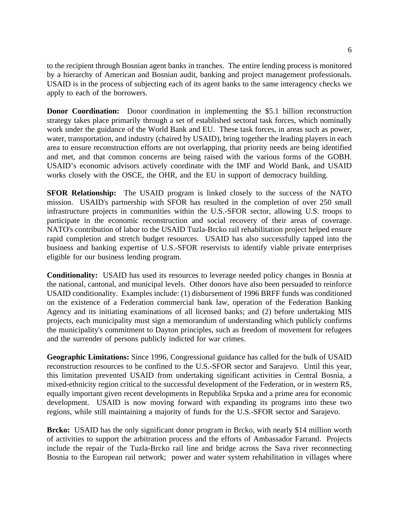to the recipient through Bosnian agent banks in tranches. The entire lending process is monitored by a hierarchy of American and Bosnian audit, banking and project management professionals. USAID is in the process of subjecting each of its agent banks to the same interagency checks we apply to each of the borrowers.

**Donor Coordination:** Donor coordination in implementing the \$5.1 billion reconstruction strategy takes place primarily through a set of established sectoral task forces, which nominally work under the guidance of the World Bank and EU. These task forces, in areas such as power, water, transportation, and industry (chaired by USAID), bring together the leading players in each area to ensure reconstruction efforts are not overlapping, that priority needs are being identified and met, and that common concerns are being raised with the various forms of the GOBH. USAID's economic advisors actively coordinate with the IMF and World Bank, and USAID works closely with the OSCE, the OHR, and the EU in support of democracy building.

**SFOR Relationship:** The USAID program is linked closely to the success of the NATO mission. USAID's partnership with SFOR has resulted in the completion of over 250 small infrastructure projects in communities within the U.S.-SFOR sector, allowing U.S. troops to participate in the economic reconstruction and social recovery of their areas of coverage. NATO's contribution of labor to the USAID Tuzla-Brcko rail rehabilitation project helped ensure rapid completion and stretch budget resources. USAID has also successfully tapped into the business and banking expertise of U.S.-SFOR reservists to identify viable private enterprises eligible for our business lending program.

**Conditionality:** USAID has used its resources to leverage needed policy changes in Bosnia at the national, cantonal, and municipal levels. Other donors have also been persuaded to reinforce USAID conditionality. Examples include: (1) disbursement of 1996 BRFF funds was conditioned on the existence of a Federation commercial bank law, operation of the Federation Banking Agency and its initiating examinations of all licensed banks; and (2) before undertaking MIS projects, each municipality must sign a memorandum of understanding which publicly confirms the municipality's commitment to Dayton principles, such as freedom of movement for refugees and the surrender of persons publicly indicted for war crimes.

**Geographic Limitations:** Since 1996, Congressional guidance has called for the bulk of USAID reconstruction resources to be confined to the U.S.-SFOR sector and Sarajevo. Until this year, this limitation prevented USAID from undertaking significant activities in Central Bosnia, a mixed-ethnicity region critical to the successful development of the Federation, or in western RS, equally important given recent developments in Republika Srpska and a prime area for economic development. USAID is now moving forward with expanding its programs into these two regions, while still maintaining a majority of funds for the U.S.-SFOR sector and Sarajevo.

**Brcko:** USAID has the only significant donor program in Brcko, with nearly \$14 million worth of activities to support the arbitration process and the efforts of Ambassador Farrand. Projects include the repair of the Tuzla-Brcko rail line and bridge across the Sava river reconnecting Bosnia to the European rail network; power and water system rehabilitation in villages where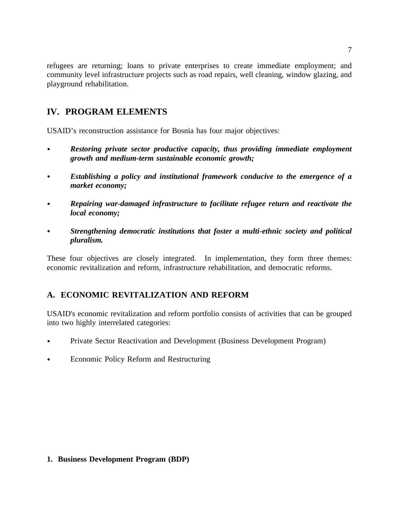refugees are returning; loans to private enterprises to create immediate employment; and community level infrastructure projects such as road repairs, well cleaning, window glazing, and playground rehabilitation.

## **IV. PROGRAM ELEMENTS**

USAID's reconstruction assistance for Bosnia has four major objectives:

- *Restoring private sector productive capacity, thus providing immediate employment growth and medium-term sustainable economic growth;*
- *Establishing a policy and institutional framework conducive to the emergence of a*  $\bullet$ *market economy;*
- *Repairing war-damaged infrastructure to facilitate refugee return and reactivate the*  $\bullet$ *local economy;*
- *Strengthening democratic institutions that foster a multi-ethnic society and political*  $\bullet$ *pluralism.*

These four objectives are closely integrated. In implementation, they form three themes: economic revitalization and reform, infrastructure rehabilitation, and democratic reforms.

### **A. ECONOMIC REVITALIZATION AND REFORM**

USAID's economic revitalization and reform portfolio consists of activities that can be grouped into two highly interrelated categories:

- Private Sector Reactivation and Development (Business Development Program)  $\bullet$
- Economic Policy Reform and Restructuring

### **1. Business Development Program (BDP)**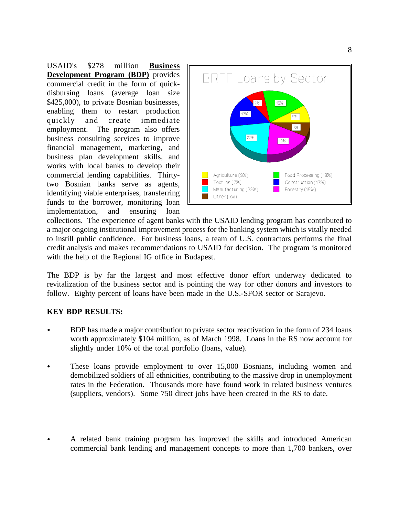USAID's \$278 million **Business Development Program (BDP)** provides commercial credit in the form of quickdisbursing loans (average loan size \$425,000), to private Bosnian businesses, enabling them to restart production quickly and create immediate employment. The program also offers business consulting services to improve financial management, marketing, and business plan development skills, and works with local banks to develop their commercial lending capabilities. Thirtytwo Bosnian banks serve as agents, identifying viable enterprises, transferring funds to the borrower, monitoring loan implementation, and ensuring loan



collections. The experience of agent banks with the USAID lending program has contributed to a major ongoing institutional improvement process for the banking system which is vitally needed to instill public confidence. For business loans, a team of U.S. contractors performs the final credit analysis and makes recommendations to USAID for decision. The program is monitored with the help of the Regional IG office in Budapest.

The BDP is by far the largest and most effective donor effort underway dedicated to revitalization of the business sector and is pointing the way for other donors and investors to follow. Eighty percent of loans have been made in the U.S.-SFOR sector or Sarajevo.

### **KEY BDP RESULTS:**

- BDP has made a major contribution to private sector reactivation in the form of 234 loans worth approximately \$104 million, as of March 1998. Loans in the RS now account for slightly under 10% of the total portfolio (loans, value).
- These loans provide employment to over 15,000 Bosnians, including women and demobilized soldiers of all ethnicities, contributing to the massive drop in unemployment rates in the Federation. Thousands more have found work in related business ventures (suppliers, vendors). Some 750 direct jobs have been created in the RS to date.
- A related bank training program has improved the skills and introduced American commercial bank lending and management concepts to more than 1,700 bankers, over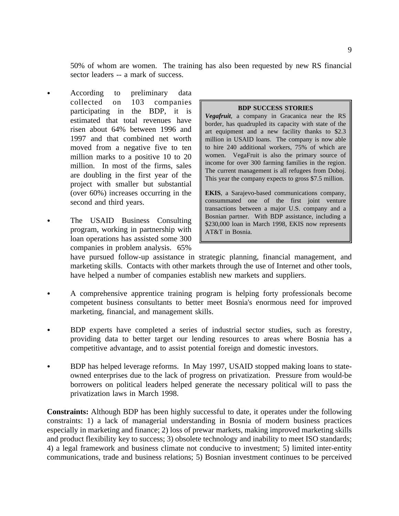50% of whom are women. The training has also been requested by new RS financial sector leaders -- a mark of success.

- $\bullet$ According to preliminary data collected on 103 companies participating in the BDP, it is estimated that total revenues have risen about 64% between 1996 and 1997 and that combined net worth moved from a negative five to ten million marks to a positive 10 to 20 million. In most of the firms, sales are doubling in the first year of the project with smaller but substantial (over 60%) increases occurring in the second and third years.
- The USAID Business Consulting  $\bullet$ program, working in partnership with loan operations has assisted some 300 companies in problem analysis. 65%

#### **BDP SUCCESS STORIES**

*Vegafruit*, a company in Gracanica near the RS border, has quadrupled its capacity with state of the art equipment and a new facility thanks to \$2.3 million in USAID loans. The company is now able to hire 240 additional workers, 75% of which are women. VegaFruit is also the primary source of income for over 300 farming families in the region. The current management is all refugees from Doboj. This year the company expects to gross \$7.5 million.

**EKIS**, a Sarajevo-based communications company, consummated one of the first joint venture transactions between a major U.S. company and a Bosnian partner. With BDP assistance, including a \$230,000 loan in March 1998, EKIS now represents AT&T in Bosnia.

have pursued follow-up assistance in strategic planning, financial management, and marketing skills. Contacts with other markets through the use of Internet and other tools, have helped a number of companies establish new markets and suppliers.

- A comprehensive apprentice training program is helping forty professionals become  $\bullet$ competent business consultants to better meet Bosnia's enormous need for improved marketing, financial, and management skills.
- BDP experts have completed a series of industrial sector studies, such as forestry, providing data to better target our lending resources to areas where Bosnia has a competitive advantage, and to assist potential foreign and domestic investors.
- BDP has helped leverage reforms. In May 1997, USAID stopped making loans to stateowned enterprises due to the lack of progress on privatization. Pressure from would-be borrowers on political leaders helped generate the necessary political will to pass the privatization laws in March 1998.

**Constraints:** Although BDP has been highly successful to date, it operates under the following constraints: 1) a lack of managerial understanding in Bosnia of modern business practices especially in marketing and finance; 2) loss of prewar markets, making improved marketing skills and product flexibility key to success; 3) obsolete technology and inability to meet ISO standards; 4) a legal framework and business climate not conducive to investment; 5) limited inter-entity communications, trade and business relations; 5) Bosnian investment continues to be perceived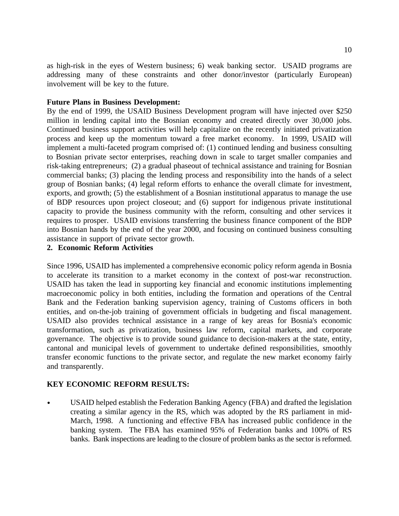as high-risk in the eyes of Western business; 6) weak banking sector. USAID programs are addressing many of these constraints and other donor/investor (particularly European) involvement will be key to the future.

#### **Future Plans in Business Development:**

By the end of 1999, the USAID Business Development program will have injected over \$250 million in lending capital into the Bosnian economy and created directly over 30,000 jobs. Continued business support activities will help capitalize on the recently initiated privatization process and keep up the momentum toward a free market economy. In 1999, USAID will implement a multi-faceted program comprised of: (1) continued lending and business consulting to Bosnian private sector enterprises, reaching down in scale to target smaller companies and risk-taking entrepreneurs; (2) a gradual phaseout of technical assistance and training for Bosnian commercial banks; (3) placing the lending process and responsibility into the hands of a select group of Bosnian banks; (4) legal reform efforts to enhance the overall climate for investment, exports, and growth; (5) the establishment of a Bosnian institutional apparatus to manage the use of BDP resources upon project closeout; and (6) support for indigenous private institutional capacity to provide the business community with the reform, consulting and other services it requires to prosper. USAID envisions transferring the business finance component of the BDP into Bosnian hands by the end of the year 2000, and focusing on continued business consulting assistance in support of private sector growth.

### **2. Economic Reform Activities**

Since 1996, USAID has implemented a comprehensive economic policy reform agenda in Bosnia to accelerate its transition to a market economy in the context of post-war reconstruction. USAID has taken the lead in supporting key financial and economic institutions implementing macroeconomic policy in both entities, including the formation and operations of the Central Bank and the Federation banking supervision agency, training of Customs officers in both entities, and on-the-job training of government officials in budgeting and fiscal management. USAID also provides technical assistance in a range of key areas for Bosnia's economic transformation, such as privatization, business law reform, capital markets, and corporate governance. The objective is to provide sound guidance to decision-makers at the state, entity, cantonal and municipal levels of government to undertake defined responsibilities, smoothly transfer economic functions to the private sector, and regulate the new market economy fairly and transparently.

#### **KEY ECONOMIC REFORM RESULTS:**

USAID helped establish the Federation Banking Agency (FBA) and drafted the legislation creating a similar agency in the RS, which was adopted by the RS parliament in mid-March, 1998. A functioning and effective FBA has increased public confidence in the banking system. The FBA has examined 95% of Federation banks and 100% of RS banks. Bank inspections are leading to the closure of problem banks as the sector is reformed.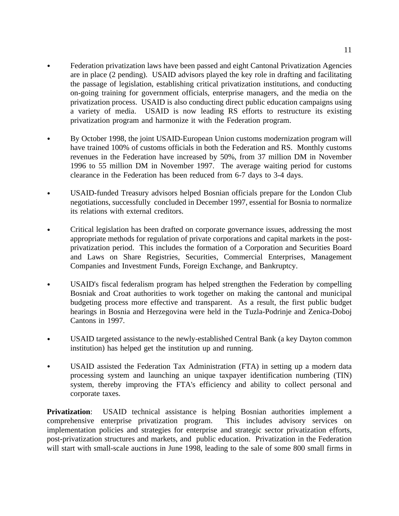- Federation privatization laws have been passed and eight Cantonal Privatization Agencies  $\bullet$ are in place (2 pending). USAID advisors played the key role in drafting and facilitating the passage of legislation, establishing critical privatization institutions, and conducting on-going training for government officials, enterprise managers, and the media on the privatization process. USAID is also conducting direct public education campaigns using a variety of media. USAID is now leading RS efforts to restructure its existing privatization program and harmonize it with the Federation program.
- $\bullet$ By October 1998, the joint USAID-European Union customs modernization program will have trained 100% of customs officials in both the Federation and RS. Monthly customs revenues in the Federation have increased by 50%, from 37 million DM in November 1996 to 55 million DM in November 1997. The average waiting period for customs clearance in the Federation has been reduced from 6-7 days to 3-4 days.
- USAID-funded Treasury advisors helped Bosnian officials prepare for the London Club  $\bullet$ negotiations, successfully concluded in December 1997, essential for Bosnia to normalize its relations with external creditors.
- Critical legislation has been drafted on corporate governance issues, addressing the most appropriate methods for regulation of private corporations and capital markets in the postprivatization period. This includes the formation of a Corporation and Securities Board and Laws on Share Registries, Securities, Commercial Enterprises, Management Companies and Investment Funds, Foreign Exchange, and Bankruptcy.
- USAID's fiscal federalism program has helped strengthen the Federation by compelling  $\bullet$ Bosniak and Croat authorities to work together on making the cantonal and municipal budgeting process more effective and transparent. As a result, the first public budget hearings in Bosnia and Herzegovina were held in the Tuzla-Podrinje and Zenica-Doboj Cantons in 1997.
- USAID targeted assistance to the newly-established Central Bank (a key Dayton common institution) has helped get the institution up and running.
- USAID assisted the Federation Tax Administration (FTA) in setting up a modern data processing system and launching an unique taxpayer identification numbering (TIN) system, thereby improving the FTA's efficiency and ability to collect personal and corporate taxes.

**Privatization:** USAID technical assistance is helping Bosnian authorities implement a comprehensive enterprise privatization program. This includes advisory services on implementation policies and strategies for enterprise and strategic sector privatization efforts, post-privatization structures and markets, and public education. Privatization in the Federation will start with small-scale auctions in June 1998, leading to the sale of some 800 small firms in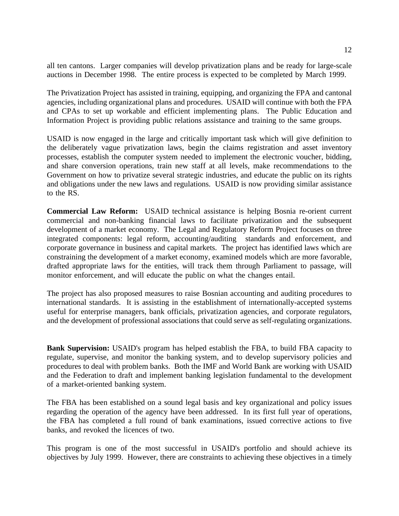all ten cantons. Larger companies will develop privatization plans and be ready for large-scale auctions in December 1998. The entire process is expected to be completed by March 1999.

The Privatization Project has assisted in training, equipping, and organizing the FPA and cantonal agencies, including organizational plans and procedures. USAID will continue with both the FPA and CPAs to set up workable and efficient implementing plans. The Public Education and Information Project is providing public relations assistance and training to the same groups.

USAID is now engaged in the large and critically important task which will give definition to the deliberately vague privatization laws, begin the claims registration and asset inventory processes, establish the computer system needed to implement the electronic voucher, bidding, and share conversion operations, train new staff at all levels, make recommendations to the Government on how to privatize several strategic industries, and educate the public on its rights and obligations under the new laws and regulations. USAID is now providing similar assistance to the RS.

**Commercial Law Reform:** USAID technical assistance is helping Bosnia re-orient current commercial and non-banking financial laws to facilitate privatization and the subsequent development of a market economy. The Legal and Regulatory Reform Project focuses on three integrated components: legal reform, accounting/auditing standards and enforcement, and corporate governance in business and capital markets. The project has identified laws which are constraining the development of a market economy, examined models which are more favorable, drafted appropriate laws for the entities, will track them through Parliament to passage, will monitor enforcement, and will educate the public on what the changes entail.

The project has also proposed measures to raise Bosnian accounting and auditing procedures to international standards. It is assisting in the establishment of internationally-accepted systems useful for enterprise managers, bank officials, privatization agencies, and corporate regulators, and the development of professional associations that could serve as self-regulating organizations.

**Bank Supervision:** USAID's program has helped establish the FBA, to build FBA capacity to regulate, supervise, and monitor the banking system, and to develop supervisory policies and procedures to deal with problem banks. Both the IMF and World Bank are working with USAID and the Federation to draft and implement banking legislation fundamental to the development of a market-oriented banking system.

The FBA has been established on a sound legal basis and key organizational and policy issues regarding the operation of the agency have been addressed. In its first full year of operations, the FBA has completed a full round of bank examinations, issued corrective actions to five banks, and revoked the licences of two.

This program is one of the most successful in USAID's portfolio and should achieve its objectives by July 1999. However, there are constraints to achieving these objectives in a timely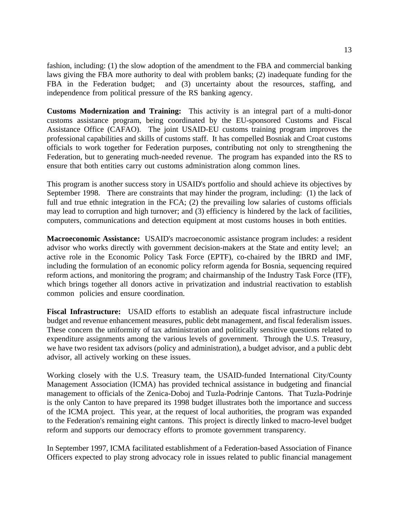fashion, including: (1) the slow adoption of the amendment to the FBA and commercial banking laws giving the FBA more authority to deal with problem banks; (2) inadequate funding for the FBA in the Federation budget; and (3) uncertainty about the resources, staffing, and independence from political pressure of the RS banking agency.

**Customs Modernization and Training:** This activity is an integral part of a multi-donor customs assistance program, being coordinated by the EU-sponsored Customs and Fiscal Assistance Office (CAFAO). The joint USAID-EU customs training program improves the professional capabilities and skills of customs staff. It has compelled Bosniak and Croat customs officials to work together for Federation purposes, contributing not only to strengthening the Federation, but to generating much-needed revenue. The program has expanded into the RS to ensure that both entities carry out customs administration along common lines.

This program is another success story in USAID's portfolio and should achieve its objectives by September 1998. There are constraints that may hinder the program, including: (1) the lack of full and true ethnic integration in the FCA; (2) the prevailing low salaries of customs officials may lead to corruption and high turnover; and (3) efficiency is hindered by the lack of facilities, computers, communications and detection equipment at most customs houses in both entities.

**Macroeconomic Assistance:** USAID's macroeconomic assistance program includes: a resident advisor who works directly with government decision-makers at the State and entity level; an active role in the Economic Policy Task Force (EPTF), co-chaired by the IBRD and IMF, including the formulation of an economic policy reform agenda for Bosnia, sequencing required reform actions, and monitoring the program; and chairmanship of the Industry Task Force (ITF), which brings together all donors active in privatization and industrial reactivation to establish common policies and ensure coordination.

**Fiscal Infrastructure:** USAID efforts to establish an adequate fiscal infrastructure include budget and revenue enhancement measures, public debt management, and fiscal federalism issues. These concern the uniformity of tax administration and politically sensitive questions related to expenditure assignments among the various levels of government. Through the U.S. Treasury, we have two resident tax advisors (policy and administration), a budget advisor, and a public debt advisor, all actively working on these issues.

Working closely with the U.S. Treasury team, the USAID-funded International City/County Management Association (ICMA) has provided technical assistance in budgeting and financial management to officials of the Zenica-Doboj and Tuzla-Podrinje Cantons. That Tuzla-Podrinje is the only Canton to have prepared its 1998 budget illustrates both the importance and success of the ICMA project. This year, at the request of local authorities, the program was expanded to the Federation's remaining eight cantons. This project is directly linked to macro-level budget reform and supports our democracy efforts to promote government transparency.

In September 1997, ICMA facilitated establishment of a Federation-based Association of Finance Officers expected to play strong advocacy role in issues related to public financial management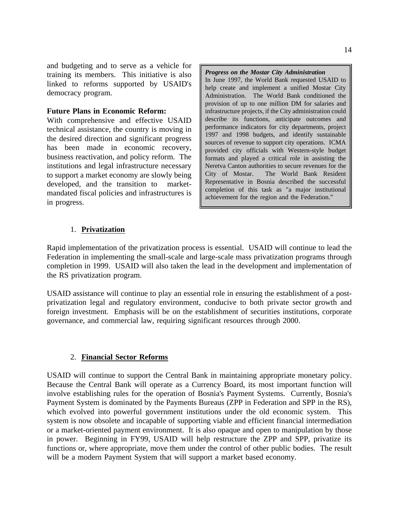and budgeting and to serve as a vehicle for *Progress on the Mostar City Administration* training its members. This initiative is also linked to reforms supported by USAID's democracy program.

#### **Future Plans in Economic Reform:**

With comprehensive and effective USAID technical assistance, the country is moving in the desired direction and significant progress has been made in economic recovery, business reactivation, and policy reform. The institutions and legal infrastructure necessary to support a market economy are slowly being developed, and the transition to marketmandated fiscal policies and infrastructures is in progress.

In June 1997, the World Bank requested USAID to help create and implement a unified Mostar City Administration. The World Bank conditioned the provision of up to one million DM for salaries and infrastructure projects, if the City administration could describe its functions, anticipate outcomes and performance indicators for city departments, project 1997 and 1998 budgets, and identify sustainable sources of revenue to support city operations. ICMA provided city officials with Western-style budget formats and played a critical role in assisting the Neretva Canton authorities to secure revenues for the City of Mostar. The World Bank Resident Representative in Bosnia described the successful completion of this task as "a major institutional achievement for the region and the Federation."

#### 1. **Privatization**

Rapid implementation of the privatization process is essential. USAID will continue to lead the Federation in implementing the small-scale and large-scale mass privatization programs through completion in 1999. USAID will also taken the lead in the development and implementation of the RS privatization program.

USAID assistance will continue to play an essential role in ensuring the establishment of a postprivatization legal and regulatory environment, conducive to both private sector growth and foreign investment. Emphasis will be on the establishment of securities institutions, corporate governance, and commercial law, requiring significant resources through 2000.

#### 2. **Financial Sector Reforms**

USAID will continue to support the Central Bank in maintaining appropriate monetary policy. Because the Central Bank will operate as a Currency Board, its most important function will involve establishing rules for the operation of Bosnia's Payment Systems. Currently, Bosnia's Payment System is dominated by the Payments Bureaus (ZPP in Federation and SPP in the RS), which evolved into powerful government institutions under the old economic system. This system is now obsolete and incapable of supporting viable and efficient financial intermediation or a market-oriented payment environment. It is also opaque and open to manipulation by those in power. Beginning in FY99, USAID will help restructure the ZPP and SPP, privatize its functions or, where appropriate, move them under the control of other public bodies. The result will be a modern Payment System that will support a market based economy.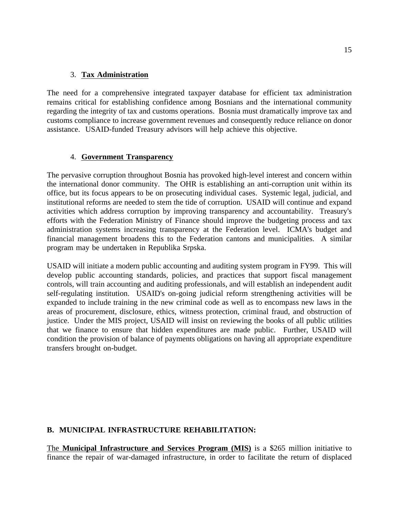#### 3. **Tax Administration**

The need for a comprehensive integrated taxpayer database for efficient tax administration remains critical for establishing confidence among Bosnians and the international community regarding the integrity of tax and customs operations. Bosnia must dramatically improve tax and customs compliance to increase government revenues and consequently reduce reliance on donor assistance. USAID-funded Treasury advisors will help achieve this objective.

### 4. **Government Transparency**

The pervasive corruption throughout Bosnia has provoked high-level interest and concern within the international donor community. The OHR is establishing an anti-corruption unit within its office, but its focus appears to be on prosecuting individual cases. Systemic legal, judicial, and institutional reforms are needed to stem the tide of corruption. USAID will continue and expand activities which address corruption by improving transparency and accountability. Treasury's efforts with the Federation Ministry of Finance should improve the budgeting process and tax administration systems increasing transparency at the Federation level. ICMA's budget and financial management broadens this to the Federation cantons and municipalities. A similar program may be undertaken in Republika Srpska.

USAID will initiate a modern public accounting and auditing system program in FY99. This will develop public accounting standards, policies, and practices that support fiscal management controls, will train accounting and auditing professionals, and will establish an independent audit self-regulating institution. USAID's on-going judicial reform strengthening activities will be expanded to include training in the new criminal code as well as to encompass new laws in the areas of procurement, disclosure, ethics, witness protection, criminal fraud, and obstruction of justice. Under the MIS project, USAID will insist on reviewing the books of all public utilities that we finance to ensure that hidden expenditures are made public. Further, USAID will condition the provision of balance of payments obligations on having all appropriate expenditure transfers brought on-budget.

### **B. MUNICIPAL INFRASTRUCTURE REHABILITATION:**

The **Municipal Infrastructure and Services Program (MIS)** is a \$265 million initiative to finance the repair of war-damaged infrastructure, in order to facilitate the return of displaced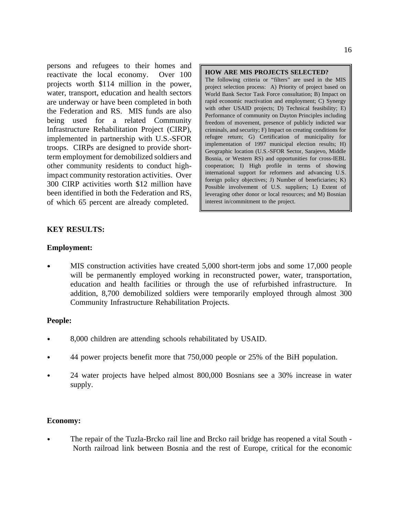persons and refugees to their homes and **HOW ARE MIS PROJECTS SELECTED?**<br>reactivate the local economy. Over 100 **HOW ARE MIS PROJECTS SELECTED?** reactivate the local economy. projects worth \$114 million in the power, water, transport, education and health sectors are underway or have been completed in both the Federation and RS. MIS funds are also being used for a related Community Infrastructure Rehabilitation Project (CIRP), implemented in partnership with U.S.-SFOR troops. CIRPs are designed to provide shortterm employment for demobilized soldiers and other community residents to conduct highimpact community restoration activities. Over 300 CIRP activities worth \$12 million have been identified in both the Federation and RS, of which 65 percent are already completed.

The following criteria or "filters" are used in the MIS project selection process: A) Priority of project based on World Bank Sector Task Force consultation; B) Impact on rapid economic reactivation and employment; C) Synergy with other USAID projects; D) Technical feasibility; E) Performance of community on Dayton Principles including freedom of movement, presence of publicly indicted war criminals, and security; F) Impact on creating conditions for refugee return; G) Certification of municipality for implementation of 1997 municipal election results; H) Geographic location (U.S.-SFOR Sector, Sarajevo, Middle Bosnia, or Western RS) and opportunities for cross-IEBL cooperation; I) High profile in terms of showing international support for reformers and advancing U.S. foreign policy objectives; J) Number of beneficiaries; K) Possible involvement of U.S. suppliers; L) Extent of leveraging other donor or local resources; and M) Bosnian interest in/commitment to the project.

#### **KEY RESULTS:**

#### **Employment:**

MIS construction activities have created 5,000 short-term jobs and some 17,000 people  $\bullet$ will be permanently employed working in reconstructed power, water, transportation, education and health facilities or through the use of refurbished infrastructure. In addition, 8,700 demobilized soldiers were temporarily employed through almost 300 Community Infrastructure Rehabilitation Projects.

#### **People:**

- 8,000 children are attending schools rehabilitated by USAID.
- 44 power projects benefit more that 750,000 people or 25% of the BiH population.
- 24 water projects have helped almost 800,000 Bosnians see a 30% increase in water supply.

#### **Economy:**

The repair of the Tuzla-Brcko rail line and Brcko rail bridge has reopened a vital South - North railroad link between Bosnia and the rest of Europe, critical for the economic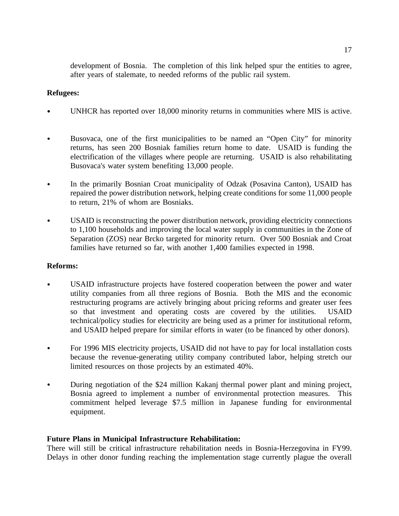development of Bosnia. The completion of this link helped spur the entities to agree, after years of stalemate, to needed reforms of the public rail system.

#### **Refugees:**

- UNHCR has reported over 18,000 minority returns in communities where MIS is active.
- $\bullet$ Busovaca, one of the first municipalities to be named an "Open City" for minority returns, has seen 200 Bosniak families return home to date. USAID is funding the electrification of the villages where people are returning. USAID is also rehabilitating Busovaca's water system benefiting 13,000 people.
- In the primarily Bosnian Croat municipality of Odzak (Posavina Canton), USAID has  $\bullet$ repaired the power distribution network, helping create conditions for some 11,000 people to return, 21% of whom are Bosniaks.
- USAID is reconstructing the power distribution network, providing electricity connections  $\bullet$ to 1,100 households and improving the local water supply in communities in the Zone of Separation (ZOS) near Brcko targeted for minority return. Over 500 Bosniak and Croat families have returned so far, with another 1,400 families expected in 1998.

#### **Reforms:**

- USAID infrastructure projects have fostered cooperation between the power and water utility companies from all three regions of Bosnia. Both the MIS and the economic restructuring programs are actively bringing about pricing reforms and greater user fees so that investment and operating costs are covered by the utilities. USAID technical/policy studies for electricity are being used as a primer for institutional reform, and USAID helped prepare for similar efforts in water (to be financed by other donors).
- For 1996 MIS electricity projects, USAID did not have to pay for local installation costs  $\bullet$ because the revenue-generating utility company contributed labor, helping stretch our limited resources on those projects by an estimated 40%.
- During negotiation of the \$24 million Kakanj thermal power plant and mining project,  $\bullet$ Bosnia agreed to implement a number of environmental protection measures. This commitment helped leverage \$7.5 million in Japanese funding for environmental equipment.

#### **Future Plans in Municipal Infrastructure Rehabilitation:**

There will still be critical infrastructure rehabilitation needs in Bosnia-Herzegovina in FY99. Delays in other donor funding reaching the implementation stage currently plague the overall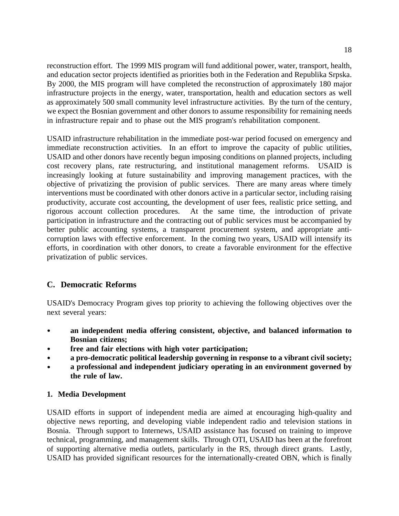reconstruction effort. The 1999 MIS program will fund additional power, water, transport, health, and education sector projects identified as priorities both in the Federation and Republika Srpska. By 2000, the MIS program will have completed the reconstruction of approximately 180 major infrastructure projects in the energy, water, transportation, health and education sectors as well as approximately 500 small community level infrastructure activities. By the turn of the century, we expect the Bosnian government and other donors to assume responsibility for remaining needs in infrastructure repair and to phase out the MIS program's rehabilitation component.

USAID infrastructure rehabilitation in the immediate post-war period focused on emergency and immediate reconstruction activities. In an effort to improve the capacity of public utilities, USAID and other donors have recently begun imposing conditions on planned projects, including cost recovery plans, rate restructuring, and institutional management reforms. USAID is increasingly looking at future sustainability and improving management practices, with the objective of privatizing the provision of public services. There are many areas where timely interventions must be coordinated with other donors active in a particular sector, including raising productivity, accurate cost accounting, the development of user fees, realistic price setting, and rigorous account collection procedures. At the same time, the introduction of private participation in infrastructure and the contracting out of public services must be accompanied by better public accounting systems, a transparent procurement system, and appropriate anticorruption laws with effective enforcement. In the coming two years, USAID will intensify its efforts, in coordination with other donors, to create a favorable environment for the effective privatization of public services.

### **C. Democratic Reforms**

USAID's Democracy Program gives top priority to achieving the following objectives over the next several years:

- **an independent media offering consistent, objective, and balanced information to**  $\bullet$ **Bosnian citizens;**
- **free and fair elections with high voter participation;**  $\bullet$
- **a pro-democratic political leadership governing in response to a vibrant civil society;**  $\bullet$
- **a professional and independent judiciary operating in an environment governed by the rule of law.**

### **1. Media Development**

USAID efforts in support of independent media are aimed at encouraging high-quality and objective news reporting, and developing viable independent radio and television stations in Bosnia. Through support to Internews, USAID assistance has focused on training to improve technical, programming, and management skills. Through OTI, USAID has been at the forefront of supporting alternative media outlets, particularly in the RS, through direct grants. Lastly, USAID has provided significant resources for the internationally-created OBN, which is finally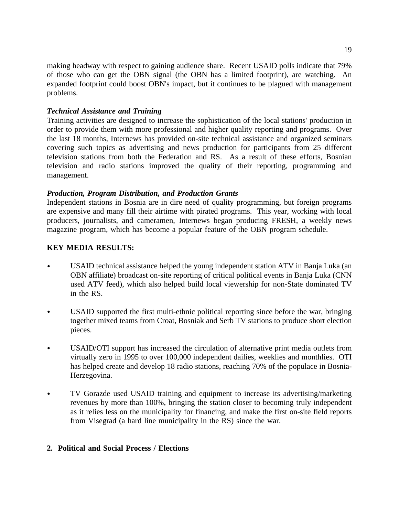making headway with respect to gaining audience share. Recent USAID polls indicate that 79% of those who can get the OBN signal (the OBN has a limited footprint), are watching. An expanded footprint could boost OBN's impact, but it continues to be plagued with management problems.

#### *Technical Assistance and Training*

Training activities are designed to increase the sophistication of the local stations' production in order to provide them with more professional and higher quality reporting and programs. Over the last 18 months, Internews has provided on-site technical assistance and organized seminars covering such topics as advertising and news production for participants from 25 different television stations from both the Federation and RS. As a result of these efforts, Bosnian television and radio stations improved the quality of their reporting, programming and management.

### *Production, Program Distribution, and Production Grants*

Independent stations in Bosnia are in dire need of quality programming, but foreign programs are expensive and many fill their airtime with pirated programs. This year, working with local producers, journalists, and cameramen, Internews began producing FRESH, a weekly news magazine program, which has become a popular feature of the OBN program schedule.

### **KEY MEDIA RESULTS:**

- USAID technical assistance helped the young independent station ATV in Banja Luka (an  $\bullet$ OBN affiliate) broadcast on-site reporting of critical political events in Banja Luka (CNN used ATV feed), which also helped build local viewership for non-State dominated TV in the RS.
- USAID supported the first multi-ethnic political reporting since before the war, bringing  $\bullet$ together mixed teams from Croat, Bosniak and Serb TV stations to produce short election pieces.
- USAID/OTI support has increased the circulation of alternative print media outlets from  $\bullet$ virtually zero in 1995 to over 100,000 independent dailies, weeklies and monthlies. OTI has helped create and develop 18 radio stations, reaching 70% of the populace in Bosnia-Herzegovina.
- $\bullet$ TV Gorazde used USAID training and equipment to increase its advertising/marketing revenues by more than 100%, bringing the station closer to becoming truly independent as it relies less on the municipality for financing, and make the first on-site field reports from Visegrad (a hard line municipality in the RS) since the war.

### **2. Political and Social Process / Elections**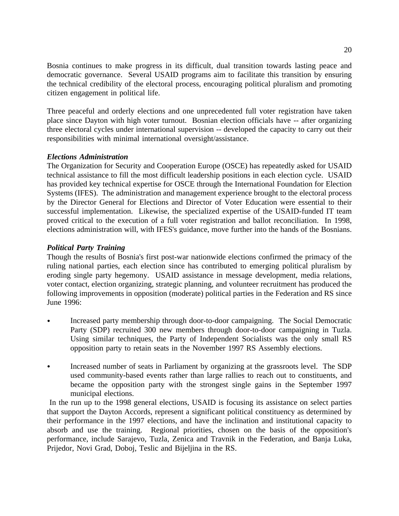Bosnia continues to make progress in its difficult, dual transition towards lasting peace and democratic governance. Several USAID programs aim to facilitate this transition by ensuring the technical credibility of the electoral process, encouraging political pluralism and promoting citizen engagement in political life.

Three peaceful and orderly elections and one unprecedented full voter registration have taken place since Dayton with high voter turnout. Bosnian election officials have -- after organizing three electoral cycles under international supervision -- developed the capacity to carry out their responsibilities with minimal international oversight/assistance.

### *Elections Administration*

The Organization for Security and Cooperation Europe (OSCE) has repeatedly asked for USAID technical assistance to fill the most difficult leadership positions in each election cycle. USAID has provided key technical expertise for OSCE through the International Foundation for Election Systems (IFES). The administration and management experience brought to the electoral process by the Director General for Elections and Director of Voter Education were essential to their successful implementation. Likewise, the specialized expertise of the USAID-funded IT team proved critical to the execution of a full voter registration and ballot reconciliation. In 1998, elections administration will, with IFES's guidance, move further into the hands of the Bosnians.

### *Political Party Training*

Though the results of Bosnia's first post-war nationwide elections confirmed the primacy of the ruling national parties, each election since has contributed to emerging political pluralism by eroding single party hegemony. USAID assistance in message development, media relations, voter contact, election organizing, strategic planning, and volunteer recruitment has produced the following improvements in opposition (moderate) political parties in the Federation and RS since June 1996:

- Increased party membership through door-to-door campaigning. The Social Democratic Party (SDP) recruited 300 new members through door-to-door campaigning in Tuzla. Using similar techniques, the Party of Independent Socialists was the only small RS opposition party to retain seats in the November 1997 RS Assembly elections.
- Increased number of seats in Parliament by organizing at the grassroots level. The SDP used community-based events rather than large rallies to reach out to constituents, and became the opposition party with the strongest single gains in the September 1997 municipal elections.

In the run up to the 1998 general elections, USAID is focusing its assistance on select parties that support the Dayton Accords, represent a significant political constituency as determined by their performance in the 1997 elections, and have the inclination and institutional capacity to absorb and use the training. Regional priorities, chosen on the basis of the opposition's performance, include Sarajevo, Tuzla, Zenica and Travnik in the Federation, and Banja Luka, Prijedor, Novi Grad, Doboj, Teslic and Bijeljina in the RS.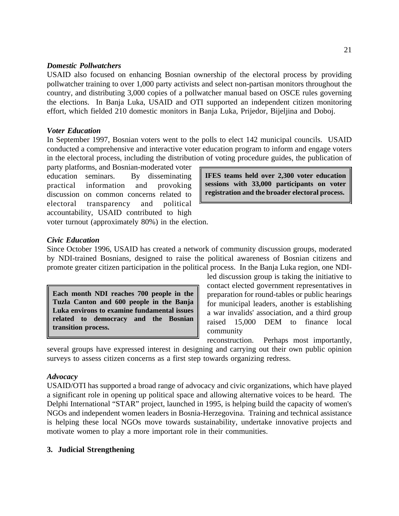#### *Domestic Pollwatchers*

USAID also focused on enhancing Bosnian ownership of the electoral process by providing pollwatcher training to over 1,000 party activists and select non-partisan monitors throughout the country, and distributing 3,000 copies of a pollwatcher manual based on OSCE rules governing the elections. In Banja Luka, USAID and OTI supported an independent citizen monitoring effort, which fielded 210 domestic monitors in Banja Luka, Prijedor, Bijeljina and Doboj.

#### *Voter Education*

In September 1997, Bosnian voters went to the polls to elect 142 municipal councils. USAID conducted a comprehensive and interactive voter education program to inform and engage voters in the electoral process, including the distribution of voting procedure guides, the publication of

party platforms, and Bosnian-moderated voter education seminars. By disseminating practical information and provoking discussion on common concerns related to electoral transparency and political accountability, USAID contributed to high

**IFES teams held over 2,300 voter education sessions with 33,000 participants on voter registration and the broader electoral process.**

voter turnout (approximately 80%) in the election.

#### *Civic Education*

Since October 1996, USAID has created a network of community discussion groups, moderated by NDI-trained Bosnians, designed to raise the political awareness of Bosnian citizens and promote greater citizen participation in the political process. In the Banja Luka region, one NDI-

**Each month NDI reaches 700 people in the Tuzla Canton and 600 people in the Banja Luka environs to examine fundamental issues related to democracy and the Bosnian transition process.**

led discussion group is taking the initiative to contact elected government representatives in preparation for round-tables or public hearings for municipal leaders, another is establishing a war invalids' association, and a third group raised 15,000 DEM to finance local community

reconstruction. Perhaps most importantly,

several groups have expressed interest in designing and carrying out their own public opinion surveys to assess citizen concerns as a first step towards organizing redress.

#### *Advocacy*

USAID/OTI has supported a broad range of advocacy and civic organizations, which have played a significant role in opening up political space and allowing alternative voices to be heard. The Delphi International "STAR" project, launched in 1995, is helping build the capacity of women's NGOs and independent women leaders in Bosnia-Herzegovina. Training and technical assistance is helping these local NGOs move towards sustainability, undertake innovative projects and motivate women to play a more important role in their communities.

#### **3. Judicial Strengthening**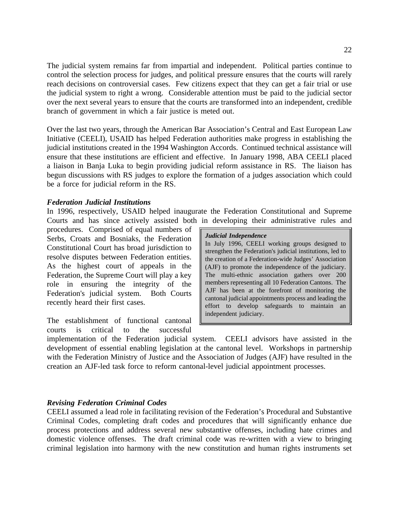The judicial system remains far from impartial and independent. Political parties continue to control the selection process for judges, and political pressure ensures that the courts will rarely reach decisions on controversial cases. Few citizens expect that they can get a fair trial or use the judicial system to right a wrong. Considerable attention must be paid to the judicial sector over the next several years to ensure that the courts are transformed into an independent, credible branch of government in which a fair justice is meted out.

Over the last two years, through the American Bar Association's Central and East European Law Initiative (CEELI), USAID has helped Federation authorities make progress in establishing the judicial institutions created in the 1994 Washington Accords. Continued technical assistance will ensure that these institutions are efficient and effective. In January 1998, ABA CEELI placed a liaison in Banja Luka to begin providing judicial reform assistance in RS. The liaison has begun discussions with RS judges to explore the formation of a judges association which could be a force for judicial reform in the RS.

#### *Federation Judicial Institutions*

In 1996, respectively, USAID helped inaugurate the Federation Constitutional and Supreme Courts and has since actively assisted both in developing their administrative rules and

procedures. Comprised of equal numbers of Serbs, Croats and Bosniaks, the Federation Constitutional Court has broad jurisdiction to resolve disputes between Federation entities. As the highest court of appeals in the Federation, the Supreme Court will play a key role in ensuring the integrity of the Federation's judicial system. Both Courts recently heard their first cases.

The establishment of functional cantonal courts is critical to the successful

#### *Judicial Independence*

In July 1996, CEELI working groups designed to strengthen the Federation's judicial institutions, led to the creation of a Federation-wide Judges' Association (AJF) to promote the independence of the judiciary. The multi-ethnic association gathers over 200 members representing all 10 Federation Cantons. The AJF has been at the forefront of monitoring the cantonal judicial appointments process and leading the effort to develop safeguards to maintain an independent judiciary.

implementation of the Federation judicial system. CEELI advisors have assisted in the development of essential enabling legislation at the cantonal level. Workshops in partnership with the Federation Ministry of Justice and the Association of Judges (AJF) have resulted in the creation an AJF-led task force to reform cantonal-level judicial appointment processes.

#### *Revising Federation Criminal Codes*

CEELI assumed a lead role in facilitating revision of the Federation's Procedural and Substantive Criminal Codes, completing draft codes and procedures that will significantly enhance due process protections and address several new substantive offenses, including hate crimes and domestic violence offenses. The draft criminal code was re-written with a view to bringing criminal legislation into harmony with the new constitution and human rights instruments set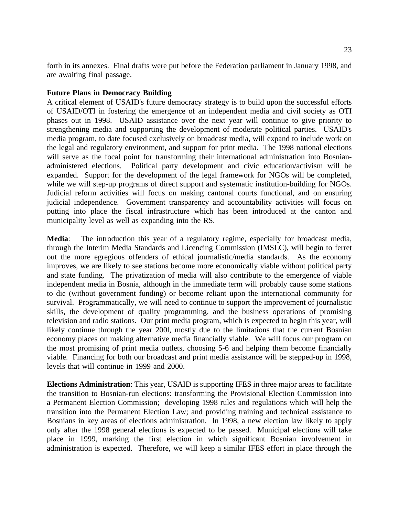forth in its annexes. Final drafts were put before the Federation parliament in January 1998, and are awaiting final passage.

#### **Future Plans in Democracy Building**

A critical element of USAID's future democracy strategy is to build upon the successful efforts of USAID/OTI in fostering the emergence of an independent media and civil society as OTI phases out in 1998. USAID assistance over the next year will continue to give priority to strengthening media and supporting the development of moderate political parties. USAID's media program, to date focused exclusively on broadcast media, will expand to include work on the legal and regulatory environment, and support for print media. The 1998 national elections will serve as the focal point for transforming their international administration into Bosnianadministered elections. Political party development and civic education/activism will be expanded. Support for the development of the legal framework for NGOs will be completed, while we will step-up programs of direct support and systematic institution-building for NGOs. Judicial reform activities will focus on making cantonal courts functional, and on ensuring judicial independence. Government transparency and accountability activities will focus on putting into place the fiscal infrastructure which has been introduced at the canton and municipality level as well as expanding into the RS.

**Media**: The introduction this year of a regulatory regime, especially for broadcast media, through the Interim Media Standards and Licencing Commission (IMSLC), will begin to ferret out the more egregious offenders of ethical journalistic/media standards. As the economy improves, we are likely to see stations become more economically viable without political party and state funding. The privatization of media will also contribute to the emergence of viable independent media in Bosnia, although in the immediate term will probably cause some stations to die (without government funding) or become reliant upon the international community for survival. Programmatically, we will need to continue to support the improvement of journalistic skills, the development of quality programming, and the business operations of promising television and radio stations. Our print media program, which is expected to begin this year, will likely continue through the year 200l, mostly due to the limitations that the current Bosnian economy places on making alternative media financially viable. We will focus our program on the most promising of print media outlets, choosing 5-6 and helping them become financially viable. Financing for both our broadcast and print media assistance will be stepped-up in 1998, levels that will continue in 1999 and 2000.

**Elections Administration**: This year, USAID is supporting IFES in three major areas to facilitate the transition to Bosnian-run elections: transforming the Provisional Election Commission into a Permanent Election Commission; developing 1998 rules and regulations which will help the transition into the Permanent Election Law; and providing training and technical assistance to Bosnians in key areas of elections administration. In 1998, a new election law likely to apply only after the 1998 general elections is expected to be passed. Municipal elections will take place in 1999, marking the first election in which significant Bosnian involvement in administration is expected. Therefore, we will keep a similar IFES effort in place through the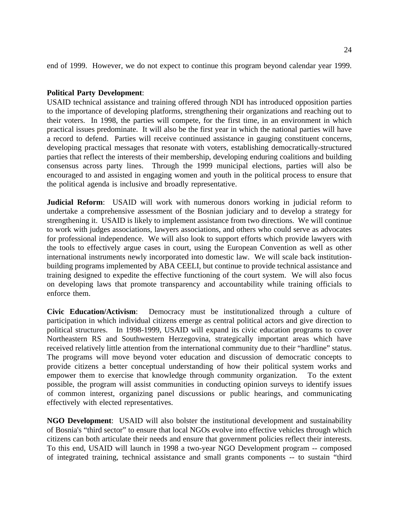end of 1999. However, we do not expect to continue this program beyond calendar year 1999.

#### **Political Party Development**:

USAID technical assistance and training offered through NDI has introduced opposition parties to the importance of developing platforms, strengthening their organizations and reaching out to their voters. In 1998, the parties will compete, for the first time, in an environment in which practical issues predominate. It will also be the first year in which the national parties will have a record to defend. Parties will receive continued assistance in gauging constituent concerns, developing practical messages that resonate with voters, establishing democratically-structured parties that reflect the interests of their membership, developing enduring coalitions and building consensus across party lines. Through the 1999 municipal elections, parties will also be encouraged to and assisted in engaging women and youth in the political process to ensure that the political agenda is inclusive and broadly representative.

**Judicial Reform**: USAID will work with numerous donors working in judicial reform to undertake a comprehensive assessment of the Bosnian judiciary and to develop a strategy for strengthening it. USAID is likely to implement assistance from two directions. We will continue to work with judges associations, lawyers associations, and others who could serve as advocates for professional independence. We will also look to support efforts which provide lawyers with the tools to effectively argue cases in court, using the European Convention as well as other international instruments newly incorporated into domestic law. We will scale back institutionbuilding programs implemented by ABA CEELI, but continue to provide technical assistance and training designed to expedite the effective functioning of the court system. We will also focus on developing laws that promote transparency and accountability while training officials to enforce them.

**Civic Education/Activism**: Democracy must be institutionalized through a culture of participation in which individual citizens emerge as central political actors and give direction to political structures. In 1998-1999, USAID will expand its civic education programs to cover Northeastern RS and Southwestern Herzegovina, strategically important areas which have received relatively little attention from the international community due to their "hardline" status. The programs will move beyond voter education and discussion of democratic concepts to provide citizens a better conceptual understanding of how their political system works and empower them to exercise that knowledge through community organization. To the extent possible, the program will assist communities in conducting opinion surveys to identify issues of common interest, organizing panel discussions or public hearings, and communicating effectively with elected representatives.

**NGO Development**: USAID will also bolster the institutional development and sustainability of Bosnia's "third sector" to ensure that local NGOs evolve into effective vehicles through which citizens can both articulate their needs and ensure that government policies reflect their interests. To this end, USAID will launch in 1998 a two-year NGO Development program -- composed of integrated training, technical assistance and small grants components -- to sustain "third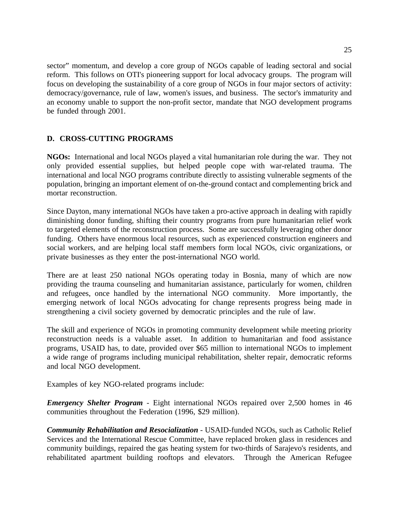sector" momentum, and develop a core group of NGOs capable of leading sectoral and social reform. This follows on OTI's pioneering support for local advocacy groups. The program will focus on developing the sustainability of a core group of NGOs in four major sectors of activity: democracy/governance, rule of law, women's issues, and business. The sector's immaturity and an economy unable to support the non-profit sector, mandate that NGO development programs be funded through 2001.

### **D. CROSS-CUTTING PROGRAMS**

**NGOs:** International and local NGOs played a vital humanitarian role during the war. They not only provided essential supplies, but helped people cope with war-related trauma. The international and local NGO programs contribute directly to assisting vulnerable segments of the population, bringing an important element of on-the-ground contact and complementing brick and mortar reconstruction.

Since Dayton, many international NGOs have taken a pro-active approach in dealing with rapidly diminishing donor funding, shifting their country programs from pure humanitarian relief work to targeted elements of the reconstruction process. Some are successfully leveraging other donor funding. Others have enormous local resources, such as experienced construction engineers and social workers, and are helping local staff members form local NGOs, civic organizations, or private businesses as they enter the post-international NGO world.

There are at least 250 national NGOs operating today in Bosnia, many of which are now providing the trauma counseling and humanitarian assistance, particularly for women, children and refugees, once handled by the international NGO community. More importantly, the emerging network of local NGOs advocating for change represents progress being made in strengthening a civil society governed by democratic principles and the rule of law.

The skill and experience of NGOs in promoting community development while meeting priority reconstruction needs is a valuable asset. In addition to humanitarian and food assistance programs, USAID has, to date, provided over \$65 million to international NGOs to implement a wide range of programs including municipal rehabilitation, shelter repair, democratic reforms and local NGO development.

Examples of key NGO-related programs include:

*Emergency Shelter Program* - Eight international NGOs repaired over 2,500 homes in 46 communities throughout the Federation (1996, \$29 million).

*Community Rehabilitation and Resocialization* - USAID-funded NGOs, such as Catholic Relief Services and the International Rescue Committee, have replaced broken glass in residences and community buildings, repaired the gas heating system for two-thirds of Sarajevo's residents, and rehabilitated apartment building rooftops and elevators. Through the American Refugee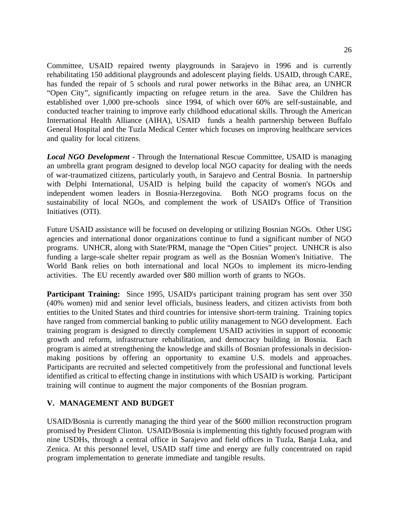Committee, USAID repaired twenty playgrounds in Sarajevo in 1996 and is currently rehabilitating 150 additional playgrounds and adolescent playing fields. USAID, through CARE, has funded the repair of 5 schools and rural power networks in the Bihac area, an UNHCR "Open City", significantly impacting on refugee return in the area. Save the Children has established over 1,000 pre-schools since 1994, of which over 60% are self-sustainable, and conducted teacher training to improve early childhood educational skills. Through the American International Health Alliance (AIHA), USAID funds a health partnership between Buffalo General Hospital and the Tuzla Medical Center which focuses on improving healthcare services and quality for local citizens.

*Local NGO Development* - Through the International Rescue Committee, USAID is managing an umbrella grant program designed to develop local NGO capacity for dealing with the needs of war-traumatized citizens, particularly youth, in Sarajevo and Central Bosnia. In partnership with Delphi International, USAID is helping build the capacity of women's NGOs and independent women leaders in Bosnia-Herzegovina. Both NGO programs focus on the sustainability of local NGOs, and complement the work of USAID's Office of Transition Initiatives (OTI).

Future USAID assistance will be focused on developing or utilizing Bosnian NGOs. Other USG agencies and international donor organizations continue to fund a significant number of NGO programs. UNHCR, along with State/PRM, manage the "Open Cities" project. UNHCR is also funding a large-scale shelter repair program as well as the Bosnian Women's Initiative. The World Bank relies on both international and local NGOs to implement its micro-lending activities. The EU recently awarded over \$80 million worth of grants to NGOs.

**Participant Training:** Since 1995, USAID's participant training program has sent over 350 (40% women) mid and senior level officials, business leaders, and citizen activists from both entities to the United States and third countries for intensive short-term training. Training topics have ranged from commercial banking to public utility management to NGO development. Each training program is designed to directly complement USAID activities in support of economic growth and reform, infrastructure rehabilitation, and democracy building in Bosnia. Each program is aimed at strengthening the knowledge and skills of Bosnian professionals in decisionmaking positions by offering an opportunity to examine U.S. models and approaches. Participants are recruited and selected competitively from the professional and functional levels identified as critical to effecting change in institutions with which USAID is working. Participant training will continue to augment the major components of the Bosnian program.

### **V. MANAGEMENT AND BUDGET**

USAID/Bosnia is currently managing the third year of the \$600 million reconstruction program promised by President Clinton. USAID/Bosnia is implementing this tightly focused program with nine USDHs, through a central office in Sarajevo and field offices in Tuzla, Banja Luka, and Zenica. At this personnel level, USAID staff time and energy are fully concentrated on rapid program implementation to generate immediate and tangible results.